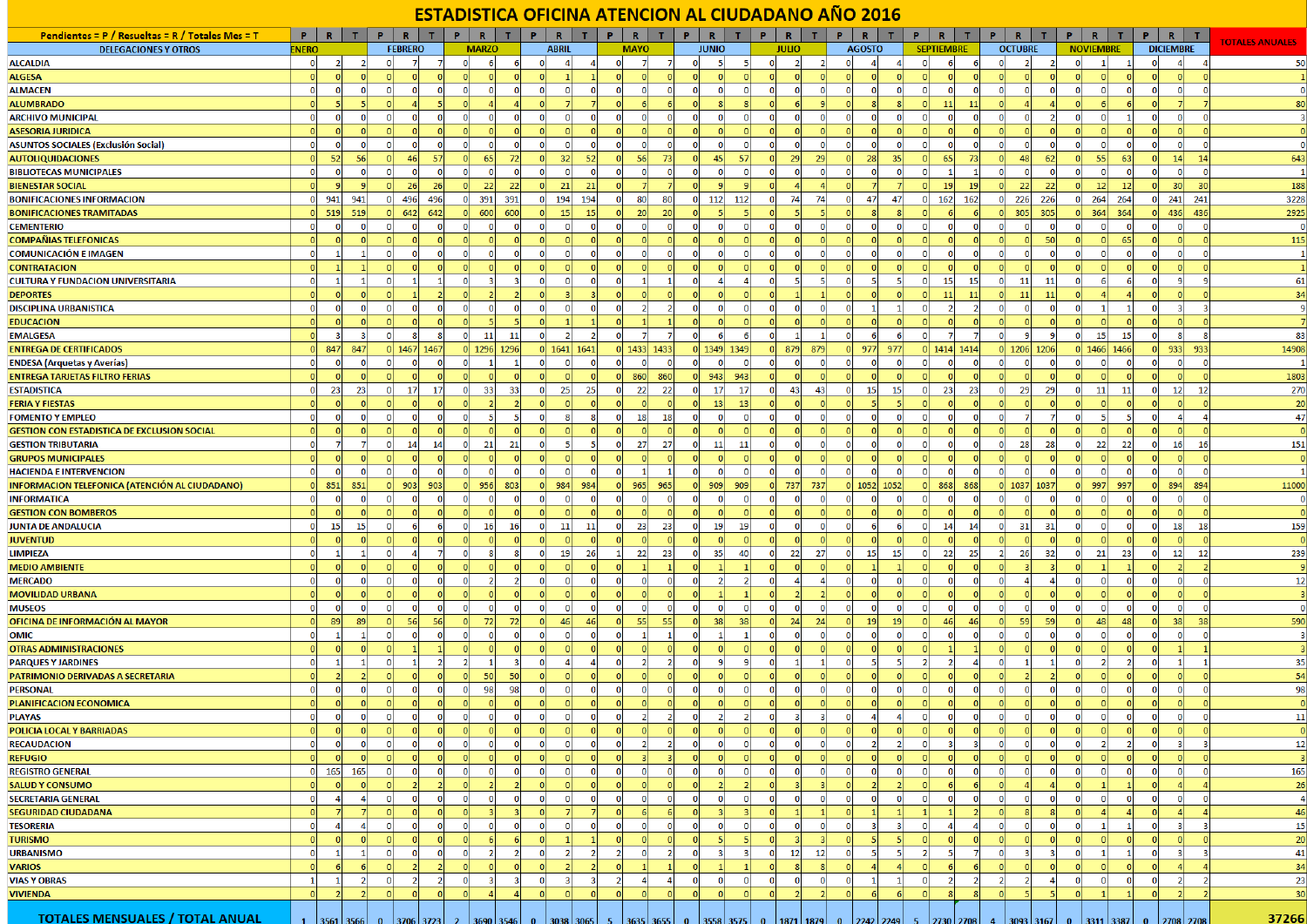## ESTADISTICA OFICINA ATENCION AL CIUDADANO AÑO 2016

| Pendientes = P / Resueltas = R / Totales Mes = T   | P<br>R                         | T              | P.       | R.             | т.             | Р.             | R            | т                   |                | $\mathbb{R}$   |                          | R              | т.                               | P.       | R                              |                | P              | $\mathbb{R}$   |                | $\mathbb{R}$  |                                    |                | $\mathbb{R}$      |              | R                              |                | P              | R                |                | P              | R                       | $\top$ |                         |
|----------------------------------------------------|--------------------------------|----------------|----------|----------------|----------------|----------------|--------------|---------------------|----------------|----------------|--------------------------|----------------|----------------------------------|----------|--------------------------------|----------------|----------------|----------------|----------------|---------------|------------------------------------|----------------|-------------------|--------------|--------------------------------|----------------|----------------|------------------|----------------|----------------|-------------------------|--------|-------------------------|
| <b>DELEGACIONES Y OTROS</b>                        | <b>ENERO</b>                   |                |          | <b>FEBRERO</b> |                |                | <b>MARZO</b> |                     |                | <b>ABRIL</b>   |                          | <b>MAYO</b>    |                                  |          | <b>JUNIO</b>                   |                |                | <b>JULIO</b>   |                | <b>AGOSTO</b> |                                    |                | <b>SEPTIEMBRE</b> |              | <b>OCTUBRE</b>                 |                |                | <b>NOVIEMBRE</b> |                |                | <b>DICIEMBRE</b>        |        | <b>TOTALES ANUALES</b>  |
| <b>ALCALDIA</b>                                    | -ol<br>$\overline{2}$          | $\overline{2}$ | $\Omega$ | -7             |                | $\overline{0}$ |              | 6 <sup>1</sup><br>6 | $\mathbf{0}$   | $\overline{4}$ | $\vert$ 4                | $\overline{0}$ | $\overline{7}$                   |          | 5 <sup>1</sup><br>$\mathbf{0}$ | - 51           | $\overline{0}$ | $\overline{2}$ | $\overline{2}$ | $\mathbf{0}$  | $\boldsymbol{A}$<br>$\overline{4}$ | $\overline{0}$ | 6 <sup>1</sup>    |              | $\mathbf{0}$<br>$\overline{2}$ | $\overline{2}$ | -ol            | $\mathbf{1}$     | $\mathbf{1}$   | $\mathbf{0}$   | $\vert$                 |        | 50                      |
| <b>ALGESA</b>                                      |                                |                |          |                |                |                |              |                     |                |                |                          |                |                                  |          |                                |                |                |                |                |               |                                    |                | $\Omega$          |              |                                |                |                |                  |                |                |                         |        | 1                       |
| <b>ALMACEN</b>                                     | $\mathbf{0}$<br>0              |                |          | $\Omega$       |                | $\mathbf{0}$   |              |                     | 0              |                |                          |                | $\Omega$                         |          |                                |                | $\Omega$       |                |                |               |                                    |                | 0                 |              |                                |                |                |                  | $\Omega$       |                | $\Omega$                |        | $\mathbf 0$             |
| <b>ALUMBRADO</b>                                   |                                |                |          |                |                |                |              |                     |                |                |                          |                |                                  |          |                                |                |                |                |                |               |                                    |                | 11                | $\mathbf{1}$ |                                |                |                |                  |                |                |                         |        | 80                      |
| <b>ARCHIVO MUNICIPAL</b>                           | $\Omega$<br>$\Omega$           |                |          | -0             |                | $\Omega$       |              |                     | 0              |                |                          |                | $\Omega$                         |          |                                |                |                |                |                |               |                                    |                | $\Omega$          |              |                                |                |                |                  |                |                | $\Omega$                |        | -3                      |
| <b>ASESORIA JURIDICA</b>                           | $\Omega$                       |                |          |                |                |                |              |                     |                |                |                          |                |                                  |          |                                |                |                |                |                |               |                                    |                |                   |              |                                |                |                |                  | $\Omega$       |                |                         |        | $\overline{0}$          |
| <b>ASUNTOS SOCIALES (Exclusión Social)</b>         | $\Omega$                       |                |          |                |                |                |              |                     |                |                | $\Omega$                 |                | $\Omega$<br>$\Omega$             |          |                                |                |                |                |                |               |                                    |                |                   |              |                                |                |                |                  | $\Omega$       |                | $\Omega$                |        | $\overline{\mathbf{0}}$ |
| <b>AUTOLIQUIDACIONES</b>                           | 52<br><sub>0</sub>             | 56             |          | 46             | 57             | 0              | 65           | 72                  | $\mathbf{0}$   | 32             | 52                       |                | 56<br>73                         |          | 45<br>$\Omega$                 | 57             | $\Omega$       | 29             | 29             |               | 28<br>35                           |                | 65                | 73           | 48<br>$\Omega$                 | 62             | $\Omega$       | 55               | 63             | $\Omega$       | 14                      | 14     | 643                     |
| <b>BIBLIOTECAS MUNICIPALES</b>                     | $\Omega$<br>$\Omega$           |                |          | $\Omega$       |                | $\overline{0}$ |              | $\Omega$            | $\Omega$       | $\Omega$       | $\overline{0}$           |                | $\overline{0}$<br>$\Omega$       |          | $\Omega$                       |                | $\Omega$       | $\Omega$       | $\Omega$       |               | $\Omega$                           |                | $\mathbf{1}$      |              | $\Omega$<br>$\Omega$           | $\Omega$       | $\Omega$       | $\Omega$         | $\overline{0}$ |                | $\Omega$                |        | $\mathbf{1}$            |
| <b>BIENESTAR SOCIAL</b>                            | $\Omega$                       |                |          | 26             | 26             | 0              | 22           | 22                  | -ol            | 21             | 21                       |                |                                  |          |                                |                |                |                |                |               |                                    |                | 19                | 19           | 22<br>$\Omega$                 | 22             | $\Omega$       | 12               | 12             |                | 30 <sup>1</sup>         | -30    | 188                     |
| <b>BONIFICACIONES INFORMACION</b>                  | 941<br>- ol                    | 941            |          | 496            | 496            | $\overline{0}$ | 391          | 391                 | $\Omega$       | 194            | 194                      |                | 80<br>80                         |          | 112<br>$\Omega$                | 112            | $\Omega$       | 74             | 74             |               | 47<br>47                           | o              | 162               | 162          | 226<br>$\mathbf{0}$            | 226            | $\overline{0}$ | 264              | 264            | $\Omega$       | 241                     | 241    | 3228                    |
| <b>BONIFICACIONES TRAMITADAS</b>                   | 519<br>nl                      | 519            |          | 642            | 642            | 0              | 600          | 600                 | $\Omega$       | 15             | 15 <sup>1</sup>          |                | 20<br><b>20</b>                  |          |                                |                |                |                |                |               | R                                  |                |                   |              | $\Omega$<br>305                | 305            | <sub>0</sub>   | 364              | 364            |                | 436                     | 436    | 2925                    |
| <b>CEMENTERIO</b>                                  | $\Omega$<br>0                  |                |          | $\overline{0}$ |                | $\overline{0}$ |              | $\Omega$            | $\Omega$       | $\Omega$       | $\Omega$                 |                | $\mathbf 0$<br>$\Omega$          |          |                                |                | $\Omega$       | $\Omega$       | 0              |               | $\Omega$                           |                | $\overline{0}$    |              | $\Omega$                       | $\Omega$       |                |                  | $\mathbf{0}$   |                | $\mathbf{0}$            |        | $\mathbf 0$             |
| <b>COMPAÑIAS TELEFONICAS</b>                       | $\Omega$                       |                |          | $\Omega$       |                | <b>O</b>       |              |                     |                |                |                          |                | $\Omega$                         |          |                                |                |                |                |                |               | $\Omega$                           |                | <sub>0</sub>      |              |                                | 50             |                |                  | 65             |                | $\Omega$                |        | 115                     |
| <b>COMUNICACIÓN E IMAGEN</b>                       | $\mathbf{0}$                   |                |          | $\Omega$       |                | $\mathbf{0}$   |              | $\Omega$            | $\Omega$       |                | $\Omega$                 |                | $\Omega$                         |          |                                |                |                |                | 0              |               | $\Omega$                           |                | $\overline{0}$    |              | $\Omega$                       |                |                |                  | 0              |                | $\mathbf{0}$            |        | $\mathbf{1}$            |
| <b>CONTRATACION</b>                                |                                |                |          |                |                |                |              |                     |                |                |                          |                |                                  |          |                                |                |                |                |                |               |                                    |                |                   |              |                                |                |                |                  |                |                |                         |        |                         |
| <b>CULTURA Y FUNDACION UNIVERSITARIA</b>           | $\Omega$                       |                |          |                |                | $\Omega$       |              |                     |                |                |                          |                |                                  |          |                                |                |                |                |                |               |                                    |                | 15                | 15           | 11                             | 11             |                |                  | 6              |                | 9                       |        | 61                      |
| <b>DEPORTES</b>                                    |                                |                |          |                |                |                |              |                     |                |                |                          |                |                                  |          |                                |                |                |                |                |               |                                    |                | 11                |              | 11                             | 11             |                |                  |                |                |                         |        | 34                      |
| <b>DISCIPLINA URBANISTICA</b>                      | $\Omega$                       |                |          |                |                | $\Omega$       |              | $\Omega$            | $\Omega$       |                | $\Omega$                 |                | -21                              |          |                                |                |                |                |                |               |                                    |                | 2                 |              | $\Omega$                       | $\Omega$       | $\Omega$       |                  |                |                | 3                       |        | 9                       |
|                                                    |                                |                |          |                |                |                |              |                     |                |                |                          |                |                                  |          |                                |                |                |                |                |               |                                    |                |                   |              |                                |                |                |                  |                |                |                         |        |                         |
| <b>EDUCACION</b>                                   | $\Omega$<br>-31                |                |          |                |                |                |              |                     |                |                |                          | <sub>0</sub>   | $\overline{7}$                   |          | $\Omega$<br>6                  |                | $\Omega$       |                | $\mathbf{1}$   |               |                                    |                |                   |              | $\Omega$<br>9                  | -91            |                | 15               | 15             |                | 8                       |        | 83                      |
| <b>EMALGESA</b>                                    |                                |                |          | 8              |                | 0              | <b>11</b>    | 11                  | $\mathbf 0$    | $\overline{2}$ | $\overline{2}$           |                | 7                                |          |                                | 6              |                |                |                |               | 6                                  |                |                   |              |                                |                | 0              |                  |                | $\Omega$       |                         |        |                         |
| <b>ENTREGA DE CERTIFICADOS</b>                     | 847<br>$\Omega$                | 847            |          |                | 1467 1467      |                | 0 1296       | 1296                |                | 0   1641       | 1641                     |                | 1433 1433                        |          | $0$ 1349                       | 1349           | 0l             | 879            | 879            | 977           | 977                                |                | 0 1414 1414       |              | 0 1206 1206                    |                |                | $0$ 1466         | 1466           |                | 933                     | 933    | 14908                   |
| <b>ENDESA (Arquetas y Averías)</b>                 | -ol<br>$\overline{0}$          | $\Omega$       |          | $\Omega$       |                | $\overline{0}$ |              | -1                  | $\Omega$       | $\Omega$       | $\overline{0}$           |                | $\overline{0}$<br>$\Omega$       |          | $\Omega$<br>$\Omega$           | $\Omega$       | $\Omega$       | $\mathbf{0}$   | $\mathbf{0}$   |               | 0 <br>$\sqrt{ }$                   | $\Omega$       | $\overline{0}$    |              | $\mathbf{0}$<br>$\mathbf{0}$   | $\overline{0}$ | 0              | $\Omega$         | $\overline{0}$ | $\Omega$       | $\overline{0}$          |        | -1                      |
| <b>ENTREGA TARJETAS FILTRO FERIAS</b>              | $\Omega$                       |                |          |                |                |                |              |                     |                |                |                          | 860            | 860                              |          | 943                            | 943            |                |                |                |               |                                    |                |                   |              |                                |                |                |                  | $\sqrt{2}$     |                |                         |        | 1803                    |
| <b>ESTADISTICA</b>                                 | -ol<br>23                      | 23             |          | 17             | -17            | $\overline{0}$ | 33           | 33                  | $\mathbf 0$    | 25             | 25                       |                | 22<br>22                         |          | -17<br>$\Omega$                | 17             | $\Omega$       | 43             | 43             |               | 15<br>15                           | $\Omega$       | 23                | 23           | 29<br>$\mathbf{0}$             | 29             | $\overline{0}$ | 11               | 11             | $\Omega$       | 12                      | - 12   | 270                     |
| <b>FERIA Y FIESTAS</b>                             |                                |                |          |                |                |                |              |                     |                |                |                          |                |                                  |          | -13                            | 13             |                |                |                |               |                                    |                |                   |              |                                |                |                |                  |                |                |                         |        | 20                      |
| <b>FOMENTO Y EMPLEO</b>                            | $\overline{0}$<br><sub>0</sub> |                |          | $\mathbf{0}$   |                | ΩI             |              | 5                   | $\Omega$       |                | -81                      | $\Omega$       | 18<br>18                         |          | $\Omega$<br>$\Omega$           | $\Omega$       | $\Omega$       | $\mathbf{0}$   | <sub>0</sub>   |               | 0                                  |                | $\overline{0}$    |              | $\Omega$                       | 7              | $\Omega$       |                  | -51            | $\Omega$       | $\overline{4}$          |        | 47                      |
| <b>GESTION CON ESTADISTICA DE EXCLUSION SOCIAL</b> | $\Omega$                       |                |          |                |                |                |              |                     |                |                |                          |                | $\Omega$                         |          |                                |                |                |                |                |               |                                    |                | $\Omega$          |              |                                |                |                |                  | $\Omega$       |                | $\Omega$                |        | $\overline{0}$          |
| <b>GESTION TRIBUTARIA</b>                          | $\overline{0}$<br>-71          |                |          | 14             | 14             | 0              | 21           | 21                  | 0              | -5             | -51                      | -O.            | 27<br>27                         |          | <b>11</b><br>$\mathbf{0}$      | -11            | $\mathbf{0}$   | $\mathbf 0$    | οl             |               | $\mathbf{0}$                       |                | $\overline{0}$    |              | 28<br>$\mathbf{0}$             | 28             | 0              | 22               | 22             | $\bf{0}$       | 16                      | - 16   | 151                     |
| <b>GRUPOS MUNICIPALES</b>                          | $\Omega$                       |                |          |                |                |                |              |                     |                |                |                          |                |                                  |          |                                |                |                |                |                |               |                                    |                |                   |              |                                |                |                |                  |                |                |                         |        | $\overline{0}$          |
| <b>HACIENDA E INTERVENCION</b>                     | $\Omega$                       |                |          | $\Omega$       |                |                |              |                     |                |                |                          |                |                                  |          |                                |                |                | $\Omega$       |                |               | $\Omega$                           |                |                   |              |                                |                |                |                  | $\Omega$       |                | $\Omega$                |        | $\mathbf{1}$            |
| INFORMACION TELEFONICA (ATENCIÓN AL CIUDADANO)     | $\Omega$<br>851                | 851            |          | 903            | 903            |                | 956          | 803                 | $\Omega$       | 984            | 984                      | 965            | 965                              |          | 909                            | 909            | ΩI             | 737            | 737            | 1052          | 1052                               |                | 868               | 868          |                                | 1037 1037      | $\Omega$       | 997              | 997            | n              | 894                     | 894    | 11000                   |
| <b>INFORMATICA</b>                                 | $\Omega$<br>$\Omega$           |                |          | $\Omega$       |                | $\Omega$       |              | $\Omega$            |                |                | $\Omega$                 |                | -ol<br>$\Omega$                  |          |                                |                | $\Omega$       |                |                |               | n                                  |                | $\Omega$          |              | n                              |                | $\Omega$       |                  | $\Omega$       |                | $\Omega$                |        | $\mathbf 0$             |
| <b>GESTION CON BOMBEROS</b>                        |                                |                |          |                |                |                |              |                     |                |                |                          |                | $\Omega$                         |          |                                |                |                |                |                |               |                                    |                |                   |              |                                |                |                |                  |                |                |                         |        |                         |
| <b>JUNTA DE ANDALUCIA</b>                          | 15<br>$\overline{0}$           | 15             |          | 6              |                | $\overline{0}$ | 16           | 16                  | $\mathbf 0$    | 11             | 11                       | $\Omega$       | 23<br>23                         |          | 19<br>$\Omega$                 | 19             | $\Omega$       | 0              | 0              |               | 6                                  |                | 14                | 14           | 31<br>$\mathbf 0$              | 31             | $\Omega$       | $\Omega$         | $\overline{0}$ | $\Omega$       | 18                      | 18     | 159                     |
| <b>JUVENTUD</b>                                    | $\Omega$                       |                |          |                |                | $\Omega$       |              | $\Omega$            |                |                |                          |                | n<br>$\Omega$                    |          |                                |                |                | n              |                |               |                                    |                | $\Omega$          |              |                                |                |                |                  | $\Omega$       |                | $\Omega$                |        | $\overline{0}$          |
| <b>LIMPIEZA</b>                                    | $\Omega$                       |                |          |                |                | $\mathbf{0}$   |              |                     | $\bf{0}$       | 19             | 26                       |                | 22<br>23                         |          | 35<br>$\Omega$                 | 40             | $\Omega$       | 22             | 27             |               | 15<br>15                           |                | 22                | 25           | 26<br>$\overline{2}$           | 32             | $\overline{0}$ | 21               | 23             |                | 12                      | 12     | 239                     |
| <b>MEDIO AMBIENTE</b>                              | $\Omega$<br>n                  |                |          | $\Omega$       |                | $\Omega$       |              | $\Omega$            | $\Omega$       | $\Omega$       |                          |                |                                  |          |                                |                | n              | $\Omega$       |                |               |                                    |                | $\Omega$          |              | $\Omega$                       | R              |                |                  |                |                | $\overline{2}$          |        | -9                      |
| <b>MERCADO</b>                                     | $\overline{0}$<br>-ol          |                |          | $\Omega$       |                | $\Omega$       |              | $\overline{2}$      | $\Omega$       | $\mathbf 0$    | $\overline{\phantom{0}}$ | $\Omega$       | $\overline{0}$<br>$\Omega$       | $\Omega$ |                                |                | $\Omega$       | $\overline{a}$ | $\overline{a}$ |               | $\Omega$                           |                | $\Omega$          |              | $\Omega$<br>Δ                  | $\vert$        | $\Omega$       | $\Omega$         | $\overline{0}$ | $\Omega$       | $\overline{0}$          |        | 12                      |
| <b>MOVILIDAD URBANA</b>                            | $\Omega$                       |                |          |                |                |                |              |                     |                |                |                          |                | $\Omega$                         |          |                                |                |                |                |                |               | $\Omega$                           |                |                   |              |                                |                |                |                  |                |                |                         |        | -3                      |
| <b>MUSEOS</b>                                      | $\Omega$<br>0                  |                |          | $\Omega$       |                | $\Omega$       |              |                     |                |                |                          |                | $\Omega$                         |          |                                |                |                | o              |                |               | $\Omega$                           |                | $\Omega$          |              |                                |                |                |                  | $\Omega$       |                | $\mathbf{0}$            |        | $\mathbf 0$             |
| OFICINA DE INFORMACIÓN AL MAYOR                    | -89<br>$\Omega$                | 89             |          | 56             | 56             | <b>O</b>       | 72           | 72                  |                | 46             | 46                       |                | 55<br>55                         |          | 38                             | 38             | $\Omega$       | 24             | 24             |               | 19<br>19                           |                | 46                | 46           | 59<br>$\Omega$                 | 59             |                | 48               | 48             |                | 38                      | 38     | 590                     |
| OMIC                                               | - Ol                           |                |          | $\overline{0}$ | $\Omega$       | $\overline{0}$ | $\Omega$     | $\Omega$            | $\Omega$       | $\Omega$       | $\overline{0}$           | $\Omega$       | -11                              |          | $\Omega$                       |                | $\Omega$       | $\Omega$       | 0              |               | $\overline{0}$                     | 0              | <sup>0</sup>      |              | $\Omega$                       | 0              | $\Omega$       | $\Omega$         | $\Omega$       |                | $\overline{0}$          |        | -3                      |
| <b>OTRAS ADMINISTRACIONES</b>                      |                                |                |          |                |                |                |              |                     |                |                |                          |                |                                  |          |                                |                |                |                |                |               |                                    |                |                   |              |                                |                |                |                  |                |                |                         |        |                         |
| <b>PARQUES Y JARDINES</b>                          | $\Omega$                       |                |          |                |                |                |              |                     | $\Omega$       |                |                          |                | $\overline{2}$                   |          |                                |                | $\Omega$       |                |                |               |                                    |                | $\overline{2}$    |              |                                |                |                |                  | $\overline{2}$ |                |                         |        | 35                      |
| PATRIMONIO DERIVADAS A SECRETARIA                  |                                |                |          |                |                |                | 50           | 50                  |                |                |                          |                |                                  |          |                                |                |                |                |                |               |                                    |                |                   |              |                                |                |                |                  |                |                |                         |        | 54                      |
| <b>PERSONAL</b>                                    | $\Omega$<br>ΩI                 |                |          |                |                | $\overline{0}$ | 98           | 98                  | $\Omega$       | $\Omega$       | -ol                      |                | <sub>0</sub><br>$\Omega$         |          |                                |                |                |                | $\Omega$       |               | $\Omega$                           |                | $\Omega$          |              |                                | $\mathbf{0}$   | $\Omega$       |                  | $\Omega$       |                | $\mathbf{0}$            |        | 98                      |
| PLANIFICACION ECONOMICA                            | $\Omega$                       |                |          |                |                |                |              |                     |                |                |                          |                |                                  |          |                                |                |                |                |                |               |                                    |                |                   |              |                                |                |                |                  |                |                |                         |        |                         |
| <b>PLAYAS</b>                                      | $\Omega$<br><sub>0</sub>       |                |          | $\Omega$       | $\Omega$       | $\mathbf{0}$   | $\Omega$     | $\Omega$            | $\mathbf{0}$   | $\mathbf{0}$   | -ol                      | -nl            | 2 <sup>1</sup><br>2 <sup>1</sup> |          | $\Omega$<br>$\overline{2}$     | $\overline{2}$ | $\mathbf{0}$   | R              | $\overline{3}$ |               | $\Delta$                           | $\Omega$       | $\Omega$          | $\Omega$     | $\Omega$<br>$\Omega$           | $\Omega$       | -ol            | $\Omega$         | $\Omega$       | $\Omega$       | $\Omega$                |        | 11                      |
| POLICIA LOCAL Y BARRIADAS                          | -ol<br>-ol                     |                |          |                |                |                |              |                     |                |                |                          |                | n<br>n                           |          |                                |                |                |                |                |               |                                    |                |                   |              |                                | $\Omega$       |                |                  | nl             | $\Omega$       | 0                       |        | $\mathbf 0$             |
| <b>RECAUDACION</b>                                 | -ol<br>$\overline{\mathbf{0}}$ |                |          | $\circ$        | $\Omega$       | $\overline{0}$ | -0           | $\overline{0}$      | $\overline{0}$ | $\mathbf 0$    | $\bullet$                | - ni           | 2 <sup>1</sup><br>2              |          | $\Omega$<br>$\Omega$           |                | $\overline{0}$ | $\Omega$       | $\overline{0}$ |               | $\overline{2}$                     |                | 3                 |              | $\mathbf{0}$<br>$\mathbf{0}$   | $\mathbf{0}$   | 0              | $\mathcal{D}$    | $\overline{2}$ | $\mathbf{0}$   | $\overline{\mathbf{3}}$ |        | 12                      |
| <b>REFUGIO</b>                                     | <sub>0</sub>                   |                |          | $\Omega$       |                | $\Omega$       |              | $\Omega$            | $\Omega$       |                |                          |                | ্থ                               |          |                                |                |                |                |                |               | $\Omega$                           |                | $\Omega$          |              | $\Omega$<br>$\Omega$           | $\Omega$       |                |                  | -ol            |                | $\Omega$                |        | 3                       |
| <b>REGISTRO GENERAL</b>                            | $0 \mid 165 \mid 165$          |                | $\Omega$ | $\overline{0}$ | $\Omega$       | 0              | $\Omega$     | - ol                | $\overline{0}$ | $\bf{0}$       | 0                        | $\overline{0}$ | 0 <br>-ol                        |          | $\Omega$<br>$\Omega$           | $\Omega$       | $\overline{0}$ | $\overline{0}$ | $\overline{0}$ | $\Omega$      | 0 <br>$\Omega$                     | $\Omega$       | $\overline{0}$    | $\Omega$     | $\overline{0}$<br>$\mathbf 0$  | $\overline{0}$ | 0              | - Ol             | $\overline{0}$ | $\mathbf{0}$   | $\overline{0}$          |        | 165                     |
| <b>SALUD Y CONSUMO</b>                             | $\Omega$<br>ΩI                 |                |          |                |                | $\Omega$       |              |                     |                |                |                          |                | $\Omega$<br>$\Omega$             |          |                                |                |                |                |                |               |                                    |                |                   |              |                                |                |                |                  |                |                | $\Delta$                |        | 26                      |
| <b>SECRETARIA GENERAL</b>                          | 0 <br>$\vert$                  | $\overline{a}$ | 0        | $\overline{0}$ | $\overline{0}$ | $\overline{0}$ | $\Omega$     | 0                   | $\mathbf 0$    | $\mathbf 0$    | 0                        | - Ol           | 0 <br> 0                         |          | $\mathbf{0}$<br>$\Omega$       | $\overline{0}$ | 0              | 0              | 0              | $\Omega$      | 0 <br>$\Omega$                     | -O             | 0                 | $\Omega$     | $\mathbf{O}$<br>$\mathbf 0$    | 0              | - Ol           | -ol              | $\overline{0}$ | $\mathbf{0}$   | $\overline{0}$          |        | $\overline{4}$          |
| <b>SEGURIDAD CIUDADANA</b>                         | -ol<br>71                      |                |          | $\overline{0}$ | $\Omega$       | 0              |              | 3                   | $\Omega$       |                | $\overline{7}$           |                | -61<br>-61                       |          | $\Omega$                       |                | $\overline{0}$ | -11            | 11             |               |                                    |                | -11               |              | $\Omega$                       | $\vert$ 8      | $\Omega$       |                  | $\vert$        | $\Omega$       | $\vert$                 |        | 46                      |
| <b>TESORERIA</b>                                   | - Ol<br>$\vert$                |                |          | $\bullet$      | o              | 0              |              | 0                   | $\mathbf 0$    | $\mathbf 0$    | 0                        | $\Omega$       | $\overline{0}$<br> 0             |          | $\mathbf 0$<br>$\Omega$        | $\Omega$       | 0l             | 0              | $\overline{0}$ |               | 3                                  | o              | $\vert$           |              | $\mathbf 0$<br>$\Omega$        | 0              | 0              | -1               | $\mathbf{1}$   | $\mathbf 0$    | $\overline{\mathbf{3}}$ |        | 15                      |
| <b>TURISMO</b>                                     | $\Omega$                       |                |          |                |                | $\Omega$       |              |                     |                |                |                          |                | $\Omega$<br>$\Omega$             |          |                                |                |                |                |                |               |                                    |                | $\Omega$          |              |                                |                |                |                  | - ol           | n              | $\Omega$                |        | 20                      |
| <b>URBANISMO</b>                                   | $\mathbf{0}$<br>-1             |                |          | $\Omega$       | n              | $\Omega$       |              | 2                   | $\Omega$       | $\overline{2}$ | $\overline{2}$           |                | -ol<br>$\overline{2}$            | $\Omega$ |                                | з              | $\overline{0}$ | 12             | 12             |               | -51                                |                | 5                 |              | $\mathbf{0}$                   | $\vert$ 3      | $\Omega$       |                  | $\mathbf{1}$   | $\Omega$       | $\overline{3}$          |        | 41                      |
| <b>VARIOS</b>                                      | $\Omega$                       |                |          |                |                | $\Omega$       |              |                     | $\Omega$       |                |                          |                |                                  |          |                                |                |                |                |                |               |                                    |                |                   |              |                                |                |                |                  | $\Omega$       |                | $\Delta$                |        | 34                      |
| <b>VIAS Y OBRAS</b>                                |                                |                |          |                |                | $\mathbf{0}$   |              |                     | 0              | 3              |                          |                | $\vert$<br>$\boldsymbol{\Delta}$ |          | $\Omega$                       |                | $\Omega$       | O              | 0              |               |                                    |                | 2                 |              |                                | $\overline{4}$ | $\Omega$       |                  | -ol            | $\Omega$       | $\overline{2}$          |        | 23                      |
| <b>VIVIENDA</b>                                    | 0 <br>2 <sup>1</sup>           |                |          | -ol            | $\Omega$       | $\Omega$       |              |                     | $\overline{0}$ | $\Omega$       | 0                        | $\sqrt{ }$     | -ol<br>-ol                       |          | -OI<br>$\sqrt{ }$              |                | 0              | $\overline{2}$ | 2 <sup>1</sup> |               | 61                                 | $\Omega$       | $\mathbf{g}$      |              | $\Omega$<br>$\overline{5}$     | 5 <sub>l</sub> | -ol            |                  | -11            | $\overline{0}$ | 2 <sup>1</sup>          |        | 30                      |
|                                                    |                                |                |          |                |                |                |              |                     |                |                |                          |                |                                  |          |                                |                |                |                |                |               |                                    |                |                   |              |                                |                |                |                  |                |                |                         |        |                         |
| <b>TOTALES MENSUALES / TOTAL ANITAL</b>            |                                |                |          |                |                |                |              |                     |                |                |                          |                |                                  |          |                                |                |                |                |                |               |                                    |                |                   |              |                                |                |                |                  |                |                |                         |        | 37266                   |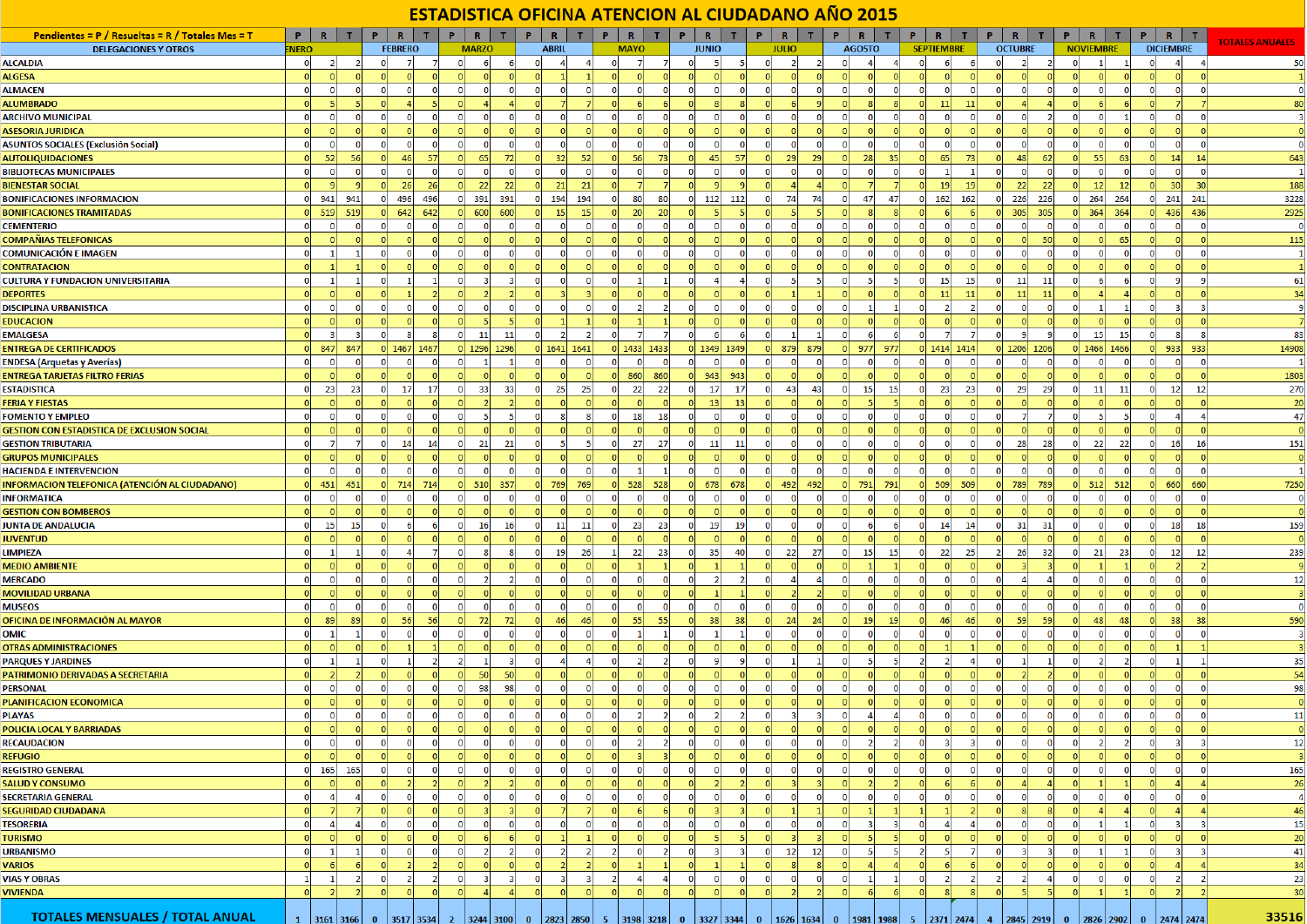## ESTADISTICA OFICINA ATENCION AL CIUDADANO AÑO 2015

| <b>Pendientes = P / Resueltas = R / Totales Mes = T</b> | PRT.           |                        | P.                       | R                                |                | R<br>P.         | T                                | $\mathbf{P}$ | $\mathbb{R}$<br>$\mathbf{T}$                                                                  | P.             | R                              |                | Р.             | R              |                |                | R              |                | $\mathbb{R}$<br>P |                                  | R<br>Р.                                               |                   |                 | R              |                |          | $\mathbb{R}$         |                                  |          | $\mathbb{R}$     | т.                      |                        |
|---------------------------------------------------------|----------------|------------------------|--------------------------|----------------------------------|----------------|-----------------|----------------------------------|--------------|-----------------------------------------------------------------------------------------------|----------------|--------------------------------|----------------|----------------|----------------|----------------|----------------|----------------|----------------|-------------------|----------------------------------|-------------------------------------------------------|-------------------|-----------------|----------------|----------------|----------|----------------------|----------------------------------|----------|------------------|-------------------------|------------------------|
| <b>DELEGACIONES Y OTROS</b>                             | <b>NERO</b>    |                        |                          | <b>FEBRERO</b>                   |                | <b>MARZO</b>    |                                  |              | <b>ABRIL</b>                                                                                  |                | <b>MAYO</b>                    |                |                | <b>JUNIO</b>   |                |                | <b>JULIO</b>   |                | <b>AGOSTO</b>     |                                  |                                                       | <b>SEPTIEMBRE</b> |                 | <b>OCTUBRE</b> |                |          | <b>NOVIEMBRE</b>     |                                  |          | <b>DICIEMBRE</b> |                         | <b>TOTALES ANUALES</b> |
| <b>ILCALDIA</b>                                         | $\mathbf 0$    | $\overline{2}$         | $\overline{2}$           | $\overline{0}$                   | -7             | $\mathbf{O}$    | 6<br>6                           | -ol          | $\overline{4}$                                                                                | $\overline{a}$ | $\mathbf{0}$<br>$\overline{7}$ |                | -OI            |                | 51             | $\Omega$       | $\overline{2}$ | $\overline{2}$ | $\overline{0}$    | $\vert$                          | -ol                                                   | 6                 |                 | $\mathbf{0}$   | $\overline{2}$ |          | 0                    |                                  |          |                  |                         | 50                     |
| <b>ILGESA</b>                                           |                |                        |                          |                                  |                |                 |                                  |              |                                                                                               |                |                                |                |                |                |                |                |                |                |                   |                                  |                                                       |                   |                 |                |                |          |                      |                                  |          |                  |                         |                        |
| <b>ILMACEN</b>                                          | $\overline{0}$ | $\Omega$               | $\Omega$                 | $\mathbf{O}$<br>$\Omega$         | $\overline{0}$ | $\overline{0}$  | <sub>0</sub><br>$\Omega$         | $\Omega$     | <sub>0</sub>                                                                                  | $\Omega$       | -ol<br>-OI                     |                | $\overline{0}$ | $\Omega$       | 0              | $\Omega$       | $\Omega$       | $\Omega$       | $\Omega$          | 0 <br> 0                         | -nl                                                   | -ol               | $\Omega$        | 0I             | $\Omega$       |          | $\Omega$             | $\Omega$<br>$\overline{0}$       |          |                  |                         | $\Omega$               |
| <b>ILUMBRADO</b>                                        |                |                        |                          |                                  |                |                 |                                  |              |                                                                                               |                |                                |                |                |                |                |                |                |                |                   |                                  |                                                       | 11                |                 |                |                |          |                      |                                  |          |                  |                         | 80                     |
| <b>ARCHIVO MUNICIPAL</b>                                | $\overline{0}$ | $\Omega$               | 0<br>$\Omega$            |                                  | n              | $\Omega$        | O                                |              | O                                                                                             | $\Omega$       | O                              |                | $\overline{0}$ | $\Omega$       | $\Omega$       |                |                | $\Omega$       | $\Omega$          | $\Omega$<br>$\Omega$             |                                                       | $\Omega$          | $\Omega$        | $\Omega$       |                |          | $\Omega$             |                                  |          |                  |                         |                        |
| ASESORIA JURIDICA                                       |                |                        |                          |                                  |                |                 |                                  |              |                                                                                               |                |                                |                |                |                |                |                |                |                |                   |                                  |                                                       |                   |                 |                |                |          |                      |                                  |          |                  |                         |                        |
| <b>SUNTOS SOCIALES (Exclusión Social)</b>               | $\mathbf{0}$   |                        |                          |                                  | $\overline{0}$ | $\Omega$        | $\Omega$<br>0                    |              | 0                                                                                             | $\Omega$       |                                |                | $\overline{0}$ | $\Omega$       | $\Omega$       |                |                | $\Omega$       |                   | $\Omega$                         |                                                       | $\Omega$          | $\Omega$        |                |                |          | $\Omega$             | $\mathbf{O}$                     |          |                  | -0                      | $\Omega$               |
| <b>AUTOLIQUIDACIONES</b>                                | $\Omega$       | 52                     | 56                       |                                  | 57             |                 | 65                               |              | 32 <sub>1</sub>                                                                               | 52             | <b>56</b>                      | 73             |                | 45             | 57             |                | 29             | 29             |                   | 28<br>35 <sub>1</sub>            |                                                       | 65                | 73              |                | 48             |          | 55                   | 63                               |          | 14               | 14                      | 643                    |
| <b>IBLIOTECAS MUNICIPALES</b>                           | $\mathbf 0$    | $\mathbf 0$            | 0                        | $\mathbf{0}$<br>$\Omega$         | $\overline{0}$ | $\Omega$        | $\overline{0}$<br>οI             |              | -OI                                                                                           | 0              | οı<br>-OI                      | $\Omega$       | 0              | $\overline{0}$ | οı             | $\Omega$       | 0              | $\mathbf 0$    | $\Omega$          | -OI<br>$\Omega$                  |                                                       |                   |                 | -O.            | $\overline{0}$ |          | $\Omega$             | $\mathbf{0}$<br>$\Omega$         |          | $\mathbf{0}$     | - 0                     |                        |
| <b>IENESTAR SOCIAL</b>                                  |                |                        |                          | 26                               | <b>26</b>      |                 | 22<br>22                         |              | 21                                                                                            | 21             |                                |                |                |                |                |                |                |                |                   |                                  |                                                       | 19                | 19              |                | 22             | -22      | 12                   | 12                               |          | 30               | 30                      | 188                    |
| <b>SONIFICACIONES INFORMACION</b>                       |                | 941                    | 941                      | 496<br>o                         | 496            | 391<br>ΩI       | 391                              |              | 194                                                                                           | 194            | 80<br>$\mathbf{0}$             | 80             |                | $0 \mid 112$   | 112            |                | 74             | 74             | $\Omega$          | 47<br>47                         |                                                       | 162               | 162             | -OI            | 226<br>226     |          | 264<br> 0            | 264                              |          | 241              | 241                     | 3228                   |
| <b>SONIFICACIONES TRAMITADAS</b>                        |                | 519                    | 519                      | 642                              | 642            | 600<br>$\Omega$ | 600                              |              | 15                                                                                            | 15             | 20                             | -20            |                |                |                |                |                |                |                   |                                  |                                                       |                   |                 |                | 305<br>305     |          | 364<br>$\Omega$      | 364                              |          | 436              | 436                     | 2925                   |
| <b>EMENTERIO</b>                                        |                |                        | $\mathbf{0}$             |                                  | $\mathbf{0}$   | $\mathbf{0}$    | $\Omega$<br>$\Omega$             |              | 0                                                                                             |                |                                |                | $\Omega$       |                |                |                |                |                |                   |                                  |                                                       | $\overline{0}$    | $\Omega$        | $\Omega$       |                |          | $\mathbf{0}$         | $\Omega$                         |          |                  |                         | $\mathbf{0}$           |
| <b>COMPAÑIAS TELEFONICAS</b>                            |                |                        |                          |                                  |                |                 |                                  |              |                                                                                               |                |                                |                |                |                |                |                |                |                |                   |                                  |                                                       | $\Omega$          |                 |                |                | 50       | $\Omega$             | 65                               |          |                  |                         | 115                    |
| COMUNICACIÓN E IMAGEN                                   | $\Omega$       |                        |                          | $\mathbf{0}$                     | $\circ$        | $\Omega$        | $\Omega$<br>$\Omega$             |              | 0                                                                                             |                |                                |                | $\Omega$       |                |                |                |                | $\Omega$       |                   | 0<br>$\Omega$                    |                                                       | $\mathbf{0}$      | $\Omega$        | -O.            | $\Omega$       |          | $\Omega$             | $\mathbf{0}$                     |          |                  |                         |                        |
| CONTRATACION                                            |                |                        |                          |                                  | $\Omega$       |                 |                                  |              |                                                                                               |                |                                |                |                |                |                |                |                |                |                   |                                  |                                                       | $\Omega$          |                 |                |                |          |                      |                                  |          |                  |                         |                        |
| ULTURA Y FUNDACION UNIVERSITARIA                        | $\Omega$       |                        | $\mathbf{1}$<br>$\Omega$ |                                  | -11            | $\Omega$        |                                  |              |                                                                                               | $\Omega$       |                                |                | $\Omega$       |                |                |                |                | 5              | $\Omega$          | 5 <sub>1</sub><br>-51            |                                                       | 15 <sup>1</sup>   | <b>15</b>       | -O.            | 11             | 11       | $\Omega$             | 6 <sup>1</sup>                   |          |                  |                         | 61                     |
| <b>DEPORTES</b>                                         |                |                        |                          |                                  |                |                 |                                  |              |                                                                                               |                |                                |                | $\Omega$       |                |                |                |                |                |                   |                                  |                                                       | 11                | $-11$           | n              | 11             | -11      |                      |                                  |          |                  |                         | 34                     |
| <b>DISCIPLINA URBANISTICA</b>                           | $\Omega$       |                        |                          |                                  | $\Omega$       |                 |                                  |              |                                                                                               |                |                                |                | $\mathbf{0}$   |                |                |                |                |                |                   |                                  |                                                       |                   |                 |                |                |          |                      |                                  |          |                  |                         |                        |
| <b>EDUCACION</b>                                        |                |                        |                          |                                  |                |                 |                                  |              |                                                                                               |                |                                |                | -ol            |                |                |                |                |                |                   |                                  |                                                       | <sub>0</sub>      |                 |                |                |          |                      |                                  |          |                  |                         |                        |
| <b>MALGESA</b>                                          |                |                        | з                        | $\mathbf{0}$                     | 8              | $\mathbf{0}$    | 11<br>11                         |              | $\overline{2}$                                                                                | $\overline{2}$ | $\overline{7}$                 |                | $\overline{0}$ | -6             | -61            | $\Omega$       |                | 1              |                   | -6<br>-61                        |                                                       | $\overline{7}$    |                 | $\overline{0}$ | -91            |          | $\overline{0}$<br>15 | 15                               |          |                  | -8                      | 83                     |
| <b>INTREGA DE CERTIFICADOS</b>                          |                | 847                    | 847                      | $0$ 1467                         | 1467           |                 | $0$ 1296 1296                    |              | 0 1641 1641                                                                                   |                | 0 1433 1433                    |                |                | 0 1349 1349    |                | $\Omega$       | 879            | 879            | $\Omega$          | 977<br>977                       |                                                       | 0 1414 1414       |                 | $0$ 1206 1206  |                |          |                      | $0$ 1466 1466                    |          | 933              | 933                     | 14908                  |
| NDESA (Arquetas y Averías)                              | $\Omega$       |                        | $\Omega$                 |                                  | $\Omega$       | $\Omega$        |                                  |              | $\Omega$                                                                                      | $\Omega$       |                                |                |                | - 0            |                |                |                | $\Omega$       |                   | $\Omega$                         |                                                       | $\Omega$          | $\Omega$        | n              |                |          | $\Omega$             | n                                |          |                  |                         |                        |
| <b>INTREGA TARJETAS FILTRO FERIAS</b>                   |                |                        |                          |                                  |                |                 |                                  |              |                                                                                               |                | 860                            | 860            | - OI           | 943            | 943            |                |                |                |                   |                                  |                                                       |                   |                 |                |                |          |                      |                                  |          |                  |                         | 1803                   |
| <b>STADISTICA</b>                                       | $\Omega$       | 23                     | 23                       | $\overline{0}$<br>17             | 17             | $\overline{0}$  | 33<br>33                         | $\Omega$     | 25                                                                                            | 25             | 22<br>$\overline{0}$           | 22             | $\overline{0}$ | 17             | 17             | $\Omega$       | 43             | 43             | $\Omega$          | 15<br>15                         | n                                                     | 23                | 23              | $\overline{0}$ | 29             | - 29     | $\overline{0}$<br>11 | 11                               |          | 12               | 12                      | 270                    |
| <b>ERIA Y FIESTAS</b>                                   |                |                        |                          |                                  |                |                 |                                  |              |                                                                                               |                |                                |                |                | 13             | 13             |                |                |                |                   |                                  |                                                       |                   |                 |                |                |          |                      |                                  |          |                  |                         | 20                     |
| <b>OMENTO Y EMPLEO</b>                                  | $\mathbf{0}$   |                        | $\mathbf 0$              | $\mathbf 0$<br>$\Omega$          | $\overline{0}$ | $\overline{0}$  | 5 <sup>1</sup><br>-51            | $\Omega$     | $\vert$ 8                                                                                     | 8              | 18<br>$\overline{0}$           | 18             | $\overline{0}$ | $\Omega$       | $\mathbf{0}$   | $\mathbf{0}$   | 0              | $\overline{0}$ | $\Omega$          | $\overline{0}$<br>-ol            | $\overline{0}$                                        | $\overline{0}$    | $\overline{0}$  | $\overline{0}$ | 7              |          | $\mathbf{0}$         | 5 <sub>5</sub><br>-51            |          |                  |                         | 47                     |
| SESTION CON ESTADISTICA DE EXCLUSION SOCIAL             |                |                        |                          |                                  | $\Omega$       |                 |                                  |              |                                                                                               |                |                                |                |                |                |                |                |                |                |                   |                                  |                                                       |                   |                 |                |                |          |                      |                                  |          |                  |                         |                        |
| <b>GESTION TRIBUTARIA</b>                               | $\mathbf 0$    |                        | $\overline{7}$           | $\mathbf 0$<br>14                | 14             | $\overline{0}$  | 21<br>21                         |              | -51                                                                                           | 5 <sub>1</sub> | $\overline{0}$<br>27           | 27             | 0              | 11             | 11             | $\overline{0}$ | $\Omega$       | $\mathbf{0}$   | $\mathbf{0}$      | $\overline{0}$<br>$\Omega$       | $\Omega$                                              | $\overline{0}$    | $\overline{0}$  | 0              | 28             | 28       | 22<br>$\overline{0}$ | 22                               |          | 16               | 16                      | 151                    |
| <b>GRUPOS MUNICIPALES</b>                               |                |                        |                          |                                  |                |                 |                                  |              |                                                                                               |                |                                |                |                |                |                |                |                |                |                   |                                  |                                                       |                   |                 |                |                |          |                      |                                  |          |                  |                         | $\Omega$               |
| <b>IACIENDA E INTERVENCION</b>                          | $\Omega$       | $\Omega$               | $\Omega$                 |                                  | $\overline{0}$ | nl              | <sub>0</sub><br>$\Omega$         |              | $\Omega$                                                                                      | $\Omega$       | ΩI                             |                | -ol            | $\Omega$       | $\Omega$       |                |                | - ol           | $\Omega$          | -OI<br>$\Omega$                  |                                                       | ΩI                | $\Omega$        | n              | $\Omega$       |          | $\Omega$             | $\Omega$<br>$\Omega$             |          |                  | $\Omega$                |                        |
| NFORMACION TELEFONICA (ATENCIÓN AL CIUDADANO)           | $\Omega$       | 451                    | 451                      | 714<br>$\Omega$                  | 714            | 510<br>$\Omega$ | 357                              |              | 769                                                                                           | 769            | 528<br>$\overline{0}$          | 528            | 0              | 678            | 678            | $\Omega$       | 492            | 492            | $\Omega$          | 791<br>791                       |                                                       | 509               | 509             | $\Omega$       | 789<br>789     |          | 0 <br>512            | 512                              |          | 660              | 660                     | 7250                   |
| NFORMATICA                                              | $\mathbf{0}$   |                        |                          |                                  |                | $\Omega$        | O<br>O                           |              | O                                                                                             |                |                                |                | $\Omega$       | $\Omega$       | $\Omega$       |                |                |                |                   |                                  |                                                       | $\Omega$          |                 |                |                |          |                      |                                  |          |                  |                         |                        |
| <b>GESTION CON BOMBEROS</b>                             | $\Omega$       |                        |                          |                                  |                |                 |                                  |              |                                                                                               |                |                                |                |                |                |                |                |                |                |                   |                                  |                                                       |                   |                 |                |                |          |                      |                                  |          |                  |                         | $\sqrt{ }$             |
| <b>UNTA DE ANDALUCIA</b>                                | $\mathbf{0}$   | 15                     | 15<br>$\mathbf{0}$       |                                  | 6              | $\bf{0}$        | 16<br>16                         |              | 11                                                                                            | 11             | 23<br>$\overline{0}$           | 23             | 0              | 19             | 19             |                |                | $\mathbf 0$    | $\Omega$          | 6<br>6                           |                                                       | 14                | 14              | $\overline{0}$ | 31             | -31      | $\overline{0}$       | $\mathbf{0}$<br>$\Omega$         |          | 18               | 18                      | 159                    |
| <b>UVENTUD</b>                                          |                |                        |                          |                                  |                |                 |                                  |              |                                                                                               |                |                                |                |                |                |                |                |                |                |                   |                                  |                                                       |                   |                 |                |                |          |                      |                                  |          |                  |                         |                        |
| <b>IMPIEZA</b>                                          |                |                        | $\Omega$                 |                                  |                | n               | 8                                |              | 19                                                                                            | 26             | 22<br>-11                      | 23             | $\overline{0}$ | 35             | 40             | $\Omega$       | 22             | 27             | $\Omega$          | 15<br>15                         |                                                       | 22                | 25 <sup>1</sup> | $\overline{2}$ | 26             | 32       | 21<br>$\mathbf{0}$   | 23                               |          | 12               | 12                      | 239                    |
| <b>MEDIO AMBIENTE</b>                                   |                |                        |                          |                                  |                |                 |                                  |              |                                                                                               |                |                                |                |                |                |                |                |                |                |                   |                                  |                                                       |                   |                 |                |                |          |                      |                                  |          |                  |                         |                        |
| <b>MERCADO</b>                                          |                |                        | $\Omega$                 |                                  | $\overline{0}$ | $\Omega$        | $\overline{2}$                   |              | $\Omega$                                                                                      | $\Omega$       |                                |                | $\Omega$       |                |                |                |                |                |                   | $\Omega$                         |                                                       | $\overline{0}$    | $\Omega$        | $\Omega$       |                |          | $\Omega$             | $\Omega$<br>$\Omega$             |          |                  |                         | 12                     |
| <b>MOVILIDAD URBANA</b>                                 | $\Omega$       |                        |                          |                                  | $\Omega$       | $\Omega$        |                                  |              | $\Omega$                                                                                      | $\Omega$       |                                |                | $\Omega$       |                |                |                |                |                |                   |                                  |                                                       | nl                | $\sqrt{ }$      |                |                |          | nl                   |                                  |          |                  |                         |                        |
| <b>MUSEOS</b>                                           | $\Omega$       |                        |                          |                                  | $\Omega$       |                 | n                                |              |                                                                                               | $\Omega$       |                                |                | $\Omega$       |                |                |                |                |                |                   |                                  |                                                       | $\Omega$          | $\Omega$        |                |                |          | n                    | $\mathbf{0}$                     |          |                  |                         | $\Omega$               |
| DFICINA DE INFORMACIÓN AL MAYOR                         | $\Omega$       | 89                     | 89<br>$\Omega$           | 56                               | 56             | nl              | 72<br><b>72</b>                  |              | 46                                                                                            | 46             | 55<br> 0                       | 55             | -ol            | 38             | 38             | <sub>0</sub>   | 24             | 24             | -ol               | 19<br>19                         |                                                       | 46                | 46              | -nl            | 59             | 59       | -ol<br>48            | 48                               |          | 38               | 38                      | 590                    |
| ЭМІС                                                    | $\Omega$       |                        | $\mathbf{1}$             | $\mathbf{0}$<br>$\Omega$         | $\overline{0}$ | $\Omega$        | $\Omega$<br>$\Omega$             |              | $\Omega$                                                                                      | $\Omega$       |                                |                | $\Omega$       |                |                |                | $\Omega$       | $\Omega$       | $\Omega$          | $\Omega$<br>$\Omega$             |                                                       | $\Omega$          | $\Omega$        | $\Omega$       |                |          | $\Omega$             |                                  |          |                  | $\sqrt{2}$              |                        |
| <b>DTRAS ADMINISTRACIONES</b>                           |                |                        |                          |                                  |                |                 |                                  |              |                                                                                               |                |                                |                | $\Omega$       |                |                |                |                |                |                   |                                  |                                                       |                   |                 |                |                |          |                      |                                  |          |                  |                         |                        |
| <b>ARQUES Y JARDINES</b>                                | $\Omega$       |                        |                          |                                  |                |                 |                                  |              | Δ                                                                                             |                |                                |                | $\Omega$       |                | 9              |                |                |                |                   |                                  |                                                       |                   |                 |                |                |          |                      |                                  |          |                  |                         | 35                     |
| <b>ATRIMONIO DERIVADAS A SECRETARIA</b>                 |                |                        |                          |                                  |                | $\Omega$        | 50<br><b>50</b>                  |              |                                                                                               |                |                                |                | -OI            |                | $\Omega$       |                |                |                |                   |                                  |                                                       |                   |                 |                |                |          |                      |                                  |          |                  |                         | 54                     |
| <b>ERSONAL</b>                                          | $\Omega$       |                        |                          | $\mathbf 0$                      | $\overline{0}$ | $\overline{0}$  | 98<br>98                         |              | $\Omega$                                                                                      | $\Omega$       |                                |                | $\Omega$       | $\Omega$       | $\Omega$       |                |                | $\Omega$       |                   | -O                               |                                                       | $\Omega$          | $\Omega$        | $\Omega$       |                |          | $\Omega$             | $\overline{0}$                   |          |                  |                         | 98                     |
| <b>LANIFICACION ECONOMICA</b>                           |                |                        |                          |                                  | $\Omega$       | $\Omega$        |                                  |              |                                                                                               | $\Omega$       |                                |                | $\Omega$       |                |                |                |                |                |                   |                                  |                                                       | nl                |                 |                |                |          |                      |                                  |          |                  |                         |                        |
| <b>LAYAS</b>                                            |                |                        |                          |                                  | $\Omega$       | $\Omega$        |                                  |              | $\Omega$                                                                                      |                |                                |                |                |                |                |                |                |                |                   | $\Delta$                         |                                                       |                   |                 |                |                |          |                      |                                  |          |                  |                         | 11                     |
| OLICIA LOCAL Y BARRIADAS                                |                |                        |                          |                                  |                |                 |                                  |              |                                                                                               |                |                                |                |                |                |                |                |                |                |                   |                                  |                                                       |                   |                 |                |                |          |                      |                                  |          |                  |                         | $\Omega$               |
| <b>RECAUDACION</b>                                      | $\bullet$      | $\Omega$               |                          | $\Omega$<br>$\mathbf{0}$         | $\bullet$      | $\overline{0}$  | $\Omega$<br>$\Omega$             |              | <sub>0</sub>                                                                                  | -ol            | <sub>0</sub>                   |                | -ol            |                |                |                |                | $\Omega$       |                   | $\overline{2}$<br>$\overline{2}$ |                                                       | $\overline{3}$    | 3               | $\Omega$       | $\Omega$       |          | -ol                  | $\overline{2}$<br>$\overline{2}$ |          |                  |                         | 12                     |
| <b>REFUGIO</b>                                          |                |                        |                          |                                  | $\Omega$       | $\Omega$        | $\Omega$                         |              | ΩI                                                                                            | $\Omega$       |                                |                | -ol            |                |                |                |                |                |                   |                                  |                                                       | <sub>0</sub>      | $\Omega$        | $\Omega$       |                |          | $\overline{0}$       | $\Omega$                         |          |                  |                         |                        |
| <b>REGISTRO GENERAL</b>                                 | $\bullet$      | 165                    | 165                      | $\overline{0}$<br>$\overline{0}$ | $\overline{0}$ | $\bullet$       | 0 <br>$\overline{0}$             | $\Omega$     | 0                                                                                             | 0              | 0 <br> 0                       |                | 0              | $\overline{0}$ | 0              | $\overline{0}$ | $\mathbf 0$    | 0              | -ol               | 0 <br> 0                         | -ol                                                   | $\overline{0}$    | 0               | 0              | 0              |          | $\overline{0}$       | $\mathbf{0}$<br>$\overline{0}$   |          | $\Omega$         | $\Omega$                | 165                    |
| <b>ALUD Y CONSUMO</b>                                   | $\Omega$       |                        | $\Omega$                 |                                  | $\mathcal{D}$  | $\Omega$        |                                  |              |                                                                                               | $\Omega$       |                                |                | n              |                |                |                |                |                | $\Omega$          | $\overline{2}$                   |                                                       | -61               |                 |                |                |          | $\Omega$             |                                  |          |                  |                         | 26                     |
| <b>ECRETARIA GENERAL</b>                                | $\mathbf 0$    | $\mathbf{A}$           | $\overline{a}$           | $\circ$<br>$\Omega$              | $\circ$        | $\Omega$        | $\Omega$<br>$\Omega$             | $\Omega$     | $\overline{0}$                                                                                | $\overline{0}$ | $\overline{0}$<br>-O.          |                | $\overline{0}$ | $\Omega$       | $\overline{0}$ | $\Omega$       | $\Omega$       | $\overline{0}$ | 0                 | $\circ$<br>-ol                   | n                                                     | $\overline{0}$    | $\Omega$        | $\overline{0}$ | $\Omega$       |          | $\overline{0}$       | $\overline{0}$<br>$\overline{0}$ |          | $\Omega$         | - 0                     | $\overline{a}$         |
| <b>EGURIDAD CIUDADANA</b>                               | $\Omega$       |                        |                          |                                  | nl             | $\Omega$        |                                  |              |                                                                                               |                |                                |                | -ol            |                |                |                |                |                | $\Omega$          | $\mathbf{1}$                     |                                                       |                   |                 |                |                |          | $\Omega$             | $\Delta$                         |          |                  |                         | 46                     |
| <b>ESORERIA</b>                                         | $\mathbf{O}$   | $\boldsymbol{\Lambda}$ | $\overline{a}$           | $\mathbf{0}$<br>$\Omega$         | $\overline{0}$ | $\overline{0}$  | $\Omega$<br>$\overline{0}$       | $\Omega$     | -OI                                                                                           | -OI            | <sub>0</sub><br>-OI            |                | 0              | $\mathbf{0}$   | <sub>0</sub>   | $\Omega$       | $\Omega$       | $\mathbf 0$    | $\overline{0}$    | $\vert$ 3<br>-31                 | $\Omega$                                              | $\vert$           | $\mathbf{A}$    | $\overline{0}$ | $\Omega$       | $\Omega$ | $\overline{0}$       | $\mathbf{1}$<br>$\mathbf{1}$     |          |                  | -3                      | 15                     |
| <b>URISMO</b>                                           | $\overline{0}$ |                        |                          |                                  | $\Omega$       |                 |                                  |              |                                                                                               |                |                                |                | -ol            |                | -51            |                |                |                |                   |                                  |                                                       | <sub>0</sub>      |                 |                |                |          | $\Omega$             | $\Omega$                         |          |                  |                         | 20                     |
| <b>JRBANISMO</b>                                        | $\circ$        | -1                     | $\mathbf{1}$             | $\overline{0}$<br>$\mathbf 0$    | $\overline{0}$ | $\overline{0}$  | $\overline{2}$<br>$\overline{2}$ | -01          | $\vert$ 2                                                                                     | $\overline{2}$ | $\vert$ 2<br> 0                | $\overline{2}$ | 0              | $\vert$ 3      | $\vert$ 3      | 0              | 12             | 12             | 0                 | 5 <sub>1</sub><br>$\vert$        | $\overline{2}$                                        | 5 <sub>1</sub>    | -7              | 0              | -31            | -3       | $\overline{0}$       | $\vert$ 1<br>$\vert$ 1           | $\Omega$ | -3               | $\overline{\mathbf{3}}$ | 41                     |
| <b>/ARIOS</b>                                           | $\Omega$       |                        |                          |                                  |                | $\Omega$        |                                  |              |                                                                                               |                |                                |                | $\Omega$       |                |                |                |                |                | $\Omega$          | 4                                |                                                       | -61               |                 |                |                |          | $\Omega$             | ΩI                               |          |                  |                         | 34                     |
| <b>/IAS Y OBRAS</b>                                     | -1             |                        | $\overline{2}$<br>0      |                                  | $\overline{2}$ | $\Omega$        |                                  |              | 3                                                                                             |                | -21                            |                | 0              | n              | 0              |                |                | 0              | $\Omega$          |                                  |                                                       | $\overline{2}$    |                 | $\overline{2}$ |                |          | $\Omega$             | $\Omega$<br>$\overline{0}$       |          |                  |                         | 23                     |
| <b>/IVIENDA</b>                                         | $\Omega$       |                        | $\overline{2}$           |                                  | $\Omega$       | $\Omega$        |                                  |              | $\Omega$                                                                                      | $\Omega$       |                                |                | $\Omega$       | $\sqrt{ }$     |                |                |                |                | $\Omega$          | 6                                |                                                       | $\mathbf{R}$      |                 |                |                |          | $\Omega$             |                                  |          |                  |                         | 30                     |
|                                                         |                |                        |                          |                                  |                |                 |                                  |              |                                                                                               |                |                                |                |                |                |                |                |                |                |                   |                                  |                                                       |                   |                 |                |                |          |                      |                                  |          |                  |                         |                        |
| <b>TOTALES MENSUALES / TOTAL ANUAL</b>                  |                |                        |                          |                                  |                |                 |                                  |              | 3161 3166  0  3517 3534  2  3244 3100  0  2823 2850  5  3198 3218  0  3327 3344  0  1626 1634 |                |                                |                |                |                |                |                |                |                |                   |                                  | $0$   1981   1988   5   2371   2474   4   2845   2919 |                   |                 |                |                |          | 0   2826   2902      |                                  |          | 2474 2474        |                         | 33516                  |